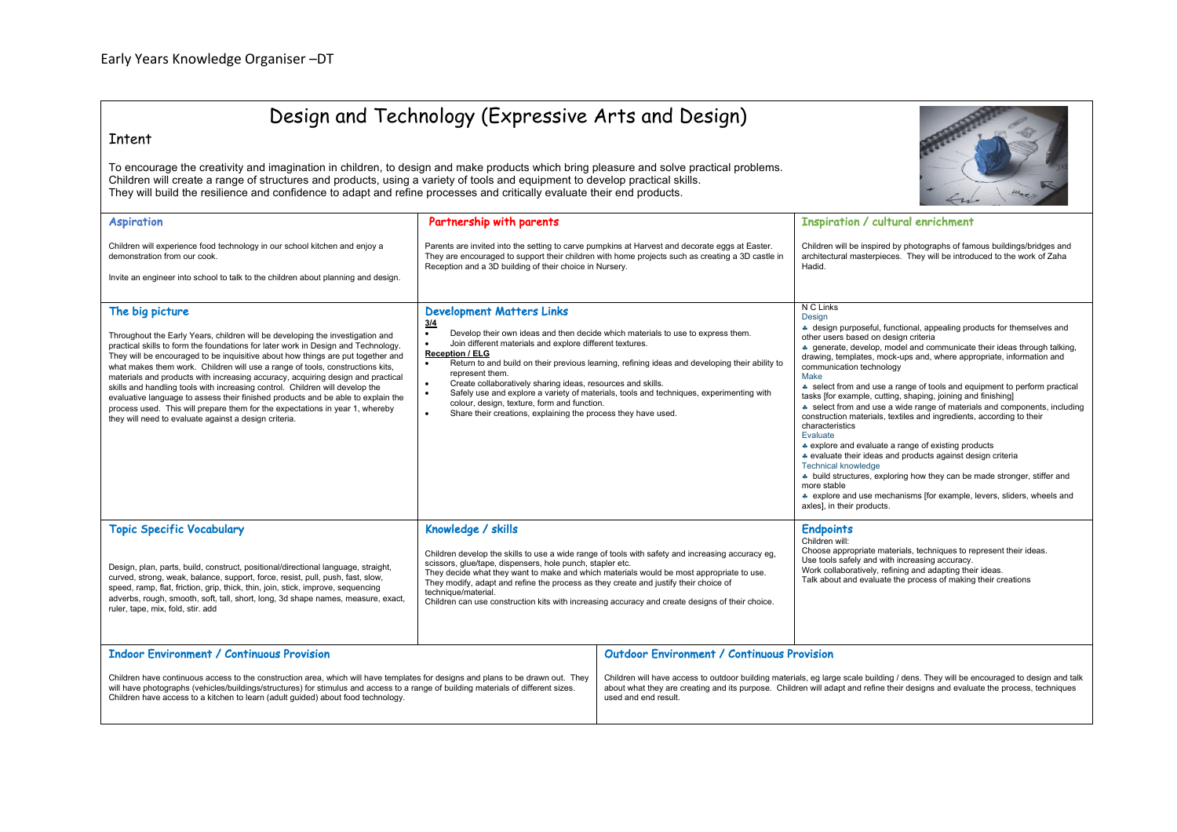

## Intent

To encourage the creativity and imagination in children, to design and make products which bring pleasure and solve practical problems. Children will create a range of structures and products, using a variety of tools and equipment to develop practical skills. They will build the resilience and confidence to adapt and refine processes and critically evaluate their end products.



|                                                                                                                                                                                                                                                                                                                                                                                                                                                                                                                                                                                                                                                                                                                                                           |                                                                                                                                                                                                                                                                                                                                                                                                                                                                                                                                                                                                                                                                                  |                                                                                                                                                                                                                                                                                                | $\leftarrow$                                                                                                                                                                                                                                                                                                                                                                                                                                                                                                                                                                                                                                                                                                                                                                                                                                                                                                                                                                                                       |
|-----------------------------------------------------------------------------------------------------------------------------------------------------------------------------------------------------------------------------------------------------------------------------------------------------------------------------------------------------------------------------------------------------------------------------------------------------------------------------------------------------------------------------------------------------------------------------------------------------------------------------------------------------------------------------------------------------------------------------------------------------------|----------------------------------------------------------------------------------------------------------------------------------------------------------------------------------------------------------------------------------------------------------------------------------------------------------------------------------------------------------------------------------------------------------------------------------------------------------------------------------------------------------------------------------------------------------------------------------------------------------------------------------------------------------------------------------|------------------------------------------------------------------------------------------------------------------------------------------------------------------------------------------------------------------------------------------------------------------------------------------------|--------------------------------------------------------------------------------------------------------------------------------------------------------------------------------------------------------------------------------------------------------------------------------------------------------------------------------------------------------------------------------------------------------------------------------------------------------------------------------------------------------------------------------------------------------------------------------------------------------------------------------------------------------------------------------------------------------------------------------------------------------------------------------------------------------------------------------------------------------------------------------------------------------------------------------------------------------------------------------------------------------------------|
| <b>Aspiration</b>                                                                                                                                                                                                                                                                                                                                                                                                                                                                                                                                                                                                                                                                                                                                         | Partnership with parents                                                                                                                                                                                                                                                                                                                                                                                                                                                                                                                                                                                                                                                         |                                                                                                                                                                                                                                                                                                | <b>Inspiration / cultural enrichment</b>                                                                                                                                                                                                                                                                                                                                                                                                                                                                                                                                                                                                                                                                                                                                                                                                                                                                                                                                                                           |
| Children will experience food technology in our school kitchen and enjoy a<br>demonstration from our cook.                                                                                                                                                                                                                                                                                                                                                                                                                                                                                                                                                                                                                                                | Parents are invited into the setting to carve pumpkins at Harvest and decorate eggs at Easter.<br>They are encouraged to support their children with home projects such as creating a 3D castle in<br>Reception and a 3D building of their choice in Nursery.                                                                                                                                                                                                                                                                                                                                                                                                                    |                                                                                                                                                                                                                                                                                                | Children will be inspired by photographs of famous buildings/bridges and<br>architectural masterpieces. They will be introduced to the work of Zaha<br>Hadid.                                                                                                                                                                                                                                                                                                                                                                                                                                                                                                                                                                                                                                                                                                                                                                                                                                                      |
| Invite an engineer into school to talk to the children about planning and design.                                                                                                                                                                                                                                                                                                                                                                                                                                                                                                                                                                                                                                                                         |                                                                                                                                                                                                                                                                                                                                                                                                                                                                                                                                                                                                                                                                                  |                                                                                                                                                                                                                                                                                                |                                                                                                                                                                                                                                                                                                                                                                                                                                                                                                                                                                                                                                                                                                                                                                                                                                                                                                                                                                                                                    |
| The big picture<br>Throughout the Early Years, children will be developing the investigation and<br>practical skills to form the foundations for later work in Design and Technology.<br>They will be encouraged to be inquisitive about how things are put together and<br>what makes them work. Children will use a range of tools, constructions kits,<br>materials and products with increasing accuracy, acquiring design and practical<br>skills and handling tools with increasing control. Children will develop the<br>evaluative language to assess their finished products and be able to explain the<br>process used. This will prepare them for the expectations in year 1, whereby<br>they will need to evaluate against a design criteria. | <b>Development Matters Links</b><br>3/4<br>Develop their own ideas and then decide which materials to use to express them.<br>$\bullet$<br>Join different materials and explore different textures.<br><b>Reception / ELG</b><br>Return to and build on their previous learning, refining ideas and developing their ability to<br>$\bullet$<br>represent them.<br>Create collaboratively sharing ideas, resources and skills.<br>$\bullet$<br>Safely use and explore a variety of materials, tools and techniques, experimenting with<br>$\bullet$<br>colour, design, texture, form and function.<br>$\bullet$<br>Share their creations, explaining the process they have used. |                                                                                                                                                                                                                                                                                                | N C Links<br>Design<br>* design purposeful, functional, appealing products for themselves and<br>other users based on design criteria<br>* generate, develop, model and communicate their ideas through talking,<br>drawing, templates, mock-ups and, where appropriate, information and<br>communication technology<br>Make<br>select from and use a range of tools and equipment to perform practical<br>tasks [for example, cutting, shaping, joining and finishing]<br>* select from and use a wide range of materials and components, including<br>construction materials, textiles and ingredients, according to their<br>characteristics<br>Evaluate<br>* explore and evaluate a range of existing products<br>* evaluate their ideas and products against design criteria<br><b>Technical knowledge</b><br>• build structures, exploring how they can be made stronger, stiffer and<br>more stable<br>* explore and use mechanisms [for example, levers, sliders, wheels and<br>axles], in their products. |
| <b>Topic Specific Vocabulary</b><br>Design, plan, parts, build, construct, positional/directional language, straight,<br>curved, strong, weak, balance, support, force, resist, pull, push, fast, slow,<br>speed, ramp, flat, friction, grip, thick, thin, join, stick, improve, sequencing<br>adverbs, rough, smooth, soft, tall, short, long, 3d shape names, measure, exact,<br>ruler, tape, mix, fold, stir. add                                                                                                                                                                                                                                                                                                                                      | Knowledge / skills<br>Children develop the skills to use a wide range of tools with safety and increasing accuracy eg,<br>scissors, glue/tape, dispensers, hole punch, stapler etc.<br>They decide what they want to make and which materials would be most appropriate to use.<br>They modify, adapt and refine the process as they create and justify their choice of<br>technique/material.<br>Children can use construction kits with increasing accuracy and create designs of their choice.                                                                                                                                                                                |                                                                                                                                                                                                                                                                                                | <b>Endpoints</b><br>Children will:<br>Choose appropriate materials, techniques to represent their ideas.<br>Use tools safely and with increasing accuracy.<br>Work collaboratively, refining and adapting their ideas.<br>Talk about and evaluate the process of making their creations                                                                                                                                                                                                                                                                                                                                                                                                                                                                                                                                                                                                                                                                                                                            |
| <b>Indoor Environment / Continuous Provision</b>                                                                                                                                                                                                                                                                                                                                                                                                                                                                                                                                                                                                                                                                                                          |                                                                                                                                                                                                                                                                                                                                                                                                                                                                                                                                                                                                                                                                                  | <b>Outdoor Environment / Continuous Provision</b>                                                                                                                                                                                                                                              |                                                                                                                                                                                                                                                                                                                                                                                                                                                                                                                                                                                                                                                                                                                                                                                                                                                                                                                                                                                                                    |
| Children have continuous access to the construction area, which will have templates for designs and plans to be drawn out. They<br>will have photographs (vehicles/buildings/structures) for stimulus and access to a range of building materials of different sizes.<br>Children have access to a kitchen to learn (adult guided) about food technology.                                                                                                                                                                                                                                                                                                                                                                                                 |                                                                                                                                                                                                                                                                                                                                                                                                                                                                                                                                                                                                                                                                                  | Children will have access to outdoor building materials, eg large scale building / dens. They will be encouraged to design and talk<br>about what they are creating and its purpose. Children will adapt and refine their designs and evaluate the process, techniques<br>used and end result. |                                                                                                                                                                                                                                                                                                                                                                                                                                                                                                                                                                                                                                                                                                                                                                                                                                                                                                                                                                                                                    |